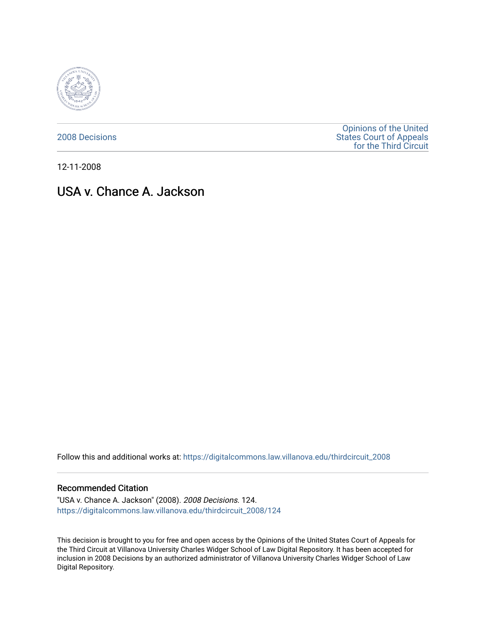

[2008 Decisions](https://digitalcommons.law.villanova.edu/thirdcircuit_2008)

[Opinions of the United](https://digitalcommons.law.villanova.edu/thirdcircuit)  [States Court of Appeals](https://digitalcommons.law.villanova.edu/thirdcircuit)  [for the Third Circuit](https://digitalcommons.law.villanova.edu/thirdcircuit) 

12-11-2008

# USA v. Chance A. Jackson

Follow this and additional works at: [https://digitalcommons.law.villanova.edu/thirdcircuit\\_2008](https://digitalcommons.law.villanova.edu/thirdcircuit_2008?utm_source=digitalcommons.law.villanova.edu%2Fthirdcircuit_2008%2F124&utm_medium=PDF&utm_campaign=PDFCoverPages) 

## Recommended Citation

"USA v. Chance A. Jackson" (2008). 2008 Decisions. 124. [https://digitalcommons.law.villanova.edu/thirdcircuit\\_2008/124](https://digitalcommons.law.villanova.edu/thirdcircuit_2008/124?utm_source=digitalcommons.law.villanova.edu%2Fthirdcircuit_2008%2F124&utm_medium=PDF&utm_campaign=PDFCoverPages)

This decision is brought to you for free and open access by the Opinions of the United States Court of Appeals for the Third Circuit at Villanova University Charles Widger School of Law Digital Repository. It has been accepted for inclusion in 2008 Decisions by an authorized administrator of Villanova University Charles Widger School of Law Digital Repository.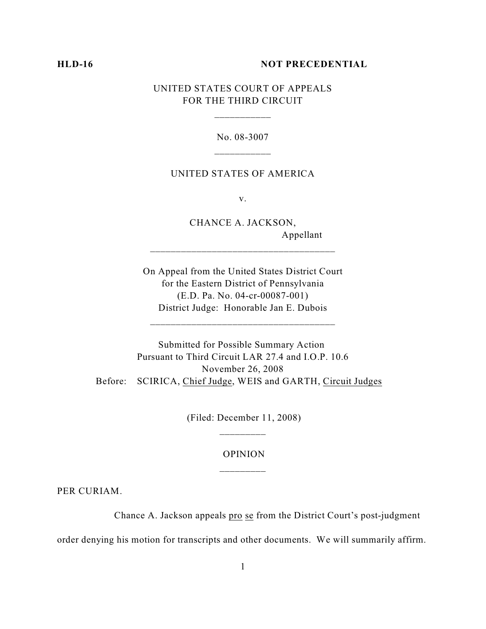### **HLD-16 NOT PRECEDENTIAL**

# UNITED STATES COURT OF APPEALS FOR THE THIRD CIRCUIT

No. 08-3007 \_\_\_\_\_\_\_\_\_\_\_

#### UNITED STATES OF AMERICA

v.

CHANCE A. JACKSON, Appellant

On Appeal from the United States District Court for the Eastern District of Pennsylvania (E.D. Pa. No. 04-cr-00087-001) District Judge: Honorable Jan E. Dubois

\_\_\_\_\_\_\_\_\_\_\_\_\_\_\_\_\_\_\_\_\_\_\_\_\_\_\_\_\_\_\_\_\_\_\_\_

\_\_\_\_\_\_\_\_\_\_\_\_\_\_\_\_\_\_\_\_\_\_\_\_\_\_\_\_\_\_\_\_\_\_\_\_

Submitted for Possible Summary Action Pursuant to Third Circuit LAR 27.4 and I.O.P. 10.6 November 26, 2008 Before: SCIRICA, Chief Judge, WEIS and GARTH, Circuit Judges

> (Filed: December 11, 2008) \_\_\_\_\_\_\_\_\_

# OPINION \_\_\_\_\_\_\_\_\_

PER CURIAM.

Chance A. Jackson appeals pro se from the District Court's post-judgment

order denying his motion for transcripts and other documents. We will summarily affirm.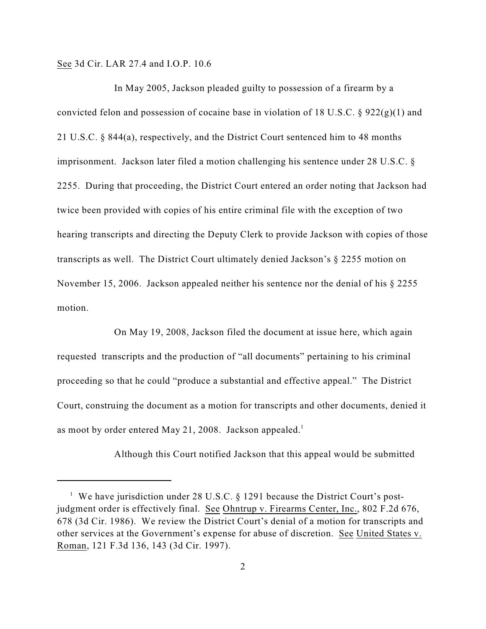See 3d Cir. LAR 27.4 and I.O.P. 10.6

In May 2005, Jackson pleaded guilty to possession of a firearm by a convicted felon and possession of cocaine base in violation of 18 U.S.C. § 922(g)(1) and 21 U.S.C. § 844(a), respectively, and the District Court sentenced him to 48 months imprisonment. Jackson later filed a motion challenging his sentence under 28 U.S.C. § 2255. During that proceeding, the District Court entered an order noting that Jackson had twice been provided with copies of his entire criminal file with the exception of two hearing transcripts and directing the Deputy Clerk to provide Jackson with copies of those transcripts as well. The District Court ultimately denied Jackson's § 2255 motion on November 15, 2006. Jackson appealed neither his sentence nor the denial of his § 2255 motion.

On May 19, 2008, Jackson filed the document at issue here, which again requested transcripts and the production of "all documents" pertaining to his criminal proceeding so that he could "produce a substantial and effective appeal." The District Court, construing the document as a motion for transcripts and other documents, denied it as moot by order entered May 21, 2008. Jackson appealed.<sup>1</sup>

Although this Court notified Jackson that this appeal would be submitted

<sup>&</sup>lt;sup>1</sup> We have jurisdiction under 28 U.S.C.  $\S$  1291 because the District Court's postjudgment order is effectively final. See Ohntrup v. Firearms Center, Inc., 802 F.2d 676, 678 (3d Cir. 1986). We review the District Court's denial of a motion for transcripts and other services at the Government's expense for abuse of discretion. See United States v. Roman, 121 F.3d 136, 143 (3d Cir. 1997).